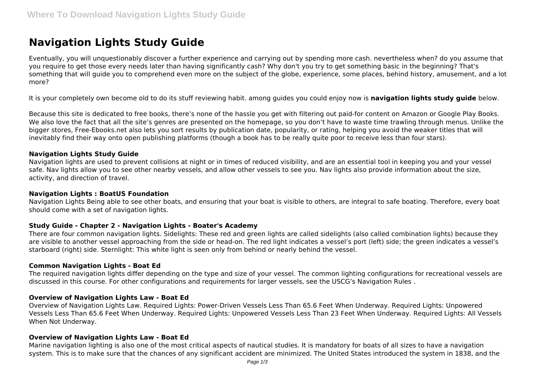# **Navigation Lights Study Guide**

Eventually, you will unquestionably discover a further experience and carrying out by spending more cash. nevertheless when? do you assume that you require to get those every needs later than having significantly cash? Why don't you try to get something basic in the beginning? That's something that will guide you to comprehend even more on the subject of the globe, experience, some places, behind history, amusement, and a lot more?

It is your completely own become old to do its stuff reviewing habit. among guides you could enjoy now is **navigation lights study guide** below.

Because this site is dedicated to free books, there's none of the hassle you get with filtering out paid-for content on Amazon or Google Play Books. We also love the fact that all the site's genres are presented on the homepage, so you don't have to waste time trawling through menus. Unlike the bigger stores, Free-Ebooks.net also lets you sort results by publication date, popularity, or rating, helping you avoid the weaker titles that will inevitably find their way onto open publishing platforms (though a book has to be really quite poor to receive less than four stars).

### **Navigation Lights Study Guide**

Navigation lights are used to prevent collisions at night or in times of reduced visibility, and are an essential tool in keeping you and your vessel safe. Nav lights allow you to see other nearby vessels, and allow other vessels to see you. Nav lights also provide information about the size, activity, and direction of travel.

#### **Navigation Lights : BoatUS Foundation**

Navigation Lights Being able to see other boats, and ensuring that your boat is visible to others, are integral to safe boating. Therefore, every boat should come with a set of navigation lights.

### **Study Guide - Chapter 2 - Navigation Lights - Boater's Academy**

There are four common navigation lights. Sidelights: These red and green lights are called sidelights (also called combination lights) because they are visible to another vessel approaching from the side or head-on. The red light indicates a vessel's port (left) side; the green indicates a vessel's starboard (right) side. Sternlight: This white light is seen only from behind or nearly behind the vessel.

#### **Common Navigation Lights - Boat Ed**

The required navigation lights differ depending on the type and size of your vessel. The common lighting configurations for recreational vessels are discussed in this course. For other configurations and requirements for larger vessels, see the USCG's Navigation Rules .

#### **Overview of Navigation Lights Law - Boat Ed**

Overview of Navigation Lights Law. Required Lights: Power-Driven Vessels Less Than 65.6 Feet When Underway. Required Lights: Unpowered Vessels Less Than 65.6 Feet When Underway. Required Lights: Unpowered Vessels Less Than 23 Feet When Underway. Required Lights: All Vessels When Not Underway.

### **Overview of Navigation Lights Law - Boat Ed**

Marine navigation lighting is also one of the most critical aspects of nautical studies. It is mandatory for boats of all sizes to have a navigation system. This is to make sure that the chances of any significant accident are minimized. The United States introduced the system in 1838, and the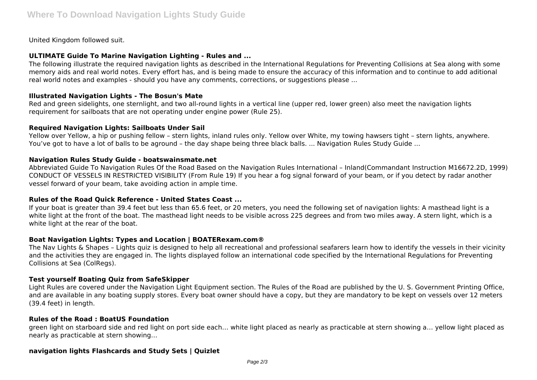United Kingdom followed suit.

## **ULTIMATE Guide To Marine Navigation Lighting - Rules and ...**

The following illustrate the required navigation lights as described in the International Regulations for Preventing Collisions at Sea along with some memory aids and real world notes. Every effort has, and is being made to ensure the accuracy of this information and to continue to add aditional real world notes and examples - should you have any comments, corrections, or suggestions please ...

### **Illustrated Navigation Lights - The Bosun's Mate**

Red and green sidelights, one sternlight, and two all-round lights in a vertical line (upper red, lower green) also meet the navigation lights requirement for sailboats that are not operating under engine power (Rule 25).

### **Required Navigation Lights: Sailboats Under Sail**

Yellow over Yellow, a hip or pushing fellow – stern lights, inland rules only. Yellow over White, my towing hawsers tight – stern lights, anywhere. You've got to have a lot of balls to be aground – the day shape being three black balls. ... Navigation Rules Study Guide ...

#### **Navigation Rules Study Guide - boatswainsmate.net**

Abbreviated Guide To Navigation Rules Of the Road Based on the Navigation Rules International – Inland(Commandant Instruction M16672.2D, 1999) CONDUCT OF VESSELS IN RESTRICTED VISIBILITY (From Rule 19) If you hear a fog signal forward of your beam, or if you detect by radar another vessel forward of your beam, take avoiding action in ample time.

## **Rules of the Road Quick Reference - United States Coast ...**

If your boat is greater than 39.4 feet but less than 65.6 feet, or 20 meters, you need the following set of navigation lights: A masthead light is a white light at the front of the boat. The masthead light needs to be visible across 225 degrees and from two miles away. A stern light, which is a white light at the rear of the boat.

### **Boat Navigation Lights: Types and Location | BOATERexam.com®**

The Nav Lights & Shapes – Lights quiz is designed to help all recreational and professional seafarers learn how to identify the vessels in their vicinity and the activities they are engaged in. The lights displayed follow an international code specified by the International Regulations for Preventing Collisions at Sea (ColRegs).

## **Test yourself Boating Quiz from SafeSkipper**

Light Rules are covered under the Navigation Light Equipment section. The Rules of the Road are published by the U. S. Government Printing Office, and are available in any boating supply stores. Every boat owner should have a copy, but they are mandatory to be kept on vessels over 12 meters (39.4 feet) in length.

### **Rules of the Road : BoatUS Foundation**

green light on starboard side and red light on port side each… white light placed as nearly as practicable at stern showing a… yellow light placed as nearly as practicable at stern showing…

### **navigation lights Flashcards and Study Sets | Quizlet**